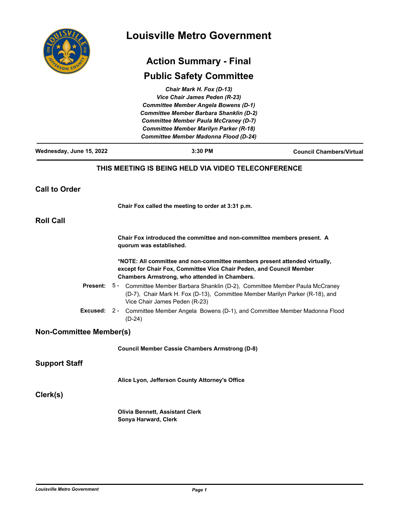|                                | <b>Louisville Metro Government</b><br><b>Action Summary - Final</b>                                                                                                                                                                                                                                         |                                 |
|--------------------------------|-------------------------------------------------------------------------------------------------------------------------------------------------------------------------------------------------------------------------------------------------------------------------------------------------------------|---------------------------------|
|                                |                                                                                                                                                                                                                                                                                                             |                                 |
|                                | Chair Mark H. Fox (D-13)<br>Vice Chair James Peden (R-23)<br><b>Committee Member Angela Bowens (D-1)</b><br><b>Committee Member Barbara Shanklin (D-2)</b><br><b>Committee Member Paula McCraney (D-7)</b><br><b>Committee Member Marilyn Parker (R-18)</b><br><b>Committee Member Madonna Flood (D-24)</b> |                                 |
| Wednesday, June 15, 2022       | 3:30 PM                                                                                                                                                                                                                                                                                                     | <b>Council Chambers/Virtual</b> |
|                                | THIS MEETING IS BEING HELD VIA VIDEO TELECONFERENCE                                                                                                                                                                                                                                                         |                                 |
| <b>Call to Order</b>           |                                                                                                                                                                                                                                                                                                             |                                 |
|                                | Chair Fox called the meeting to order at 3:31 p.m.                                                                                                                                                                                                                                                          |                                 |
| <b>Roll Call</b>               |                                                                                                                                                                                                                                                                                                             |                                 |
|                                | Chair Fox introduced the committee and non-committee members present. A<br>quorum was established.                                                                                                                                                                                                          |                                 |
|                                | *NOTE: All committee and non-committee members present attended virtually,<br>except for Chair Fox, Committee Vice Chair Peden, and Council Member<br>Chambers Armstrong, who attended in Chambers.                                                                                                         |                                 |
| <b>Present:</b>                | 5 - Committee Member Barbara Shanklin (D-2), Committee Member Paula McCraney<br>(D-7), Chair Mark H. Fox (D-13), Committee Member Marilyn Parker (R-18), and<br>Vice Chair James Peden (R-23)                                                                                                               |                                 |
| Excused:                       | $2 -$<br>Committee Member Angela Bowens (D-1), and Committee Member Madonna Flood<br>$(D-24)$                                                                                                                                                                                                               |                                 |
| <b>Non-Committee Member(s)</b> |                                                                                                                                                                                                                                                                                                             |                                 |
|                                | <b>Council Member Cassie Chambers Armstrong (D-8)</b>                                                                                                                                                                                                                                                       |                                 |
| <b>Support Staff</b>           |                                                                                                                                                                                                                                                                                                             |                                 |
|                                | Alice Lyon, Jefferson County Attorney's Office                                                                                                                                                                                                                                                              |                                 |
| Clerk(s)                       |                                                                                                                                                                                                                                                                                                             |                                 |
|                                | <b>Olivia Bennett, Assistant Clerk</b><br>Sonya Harward, Clerk                                                                                                                                                                                                                                              |                                 |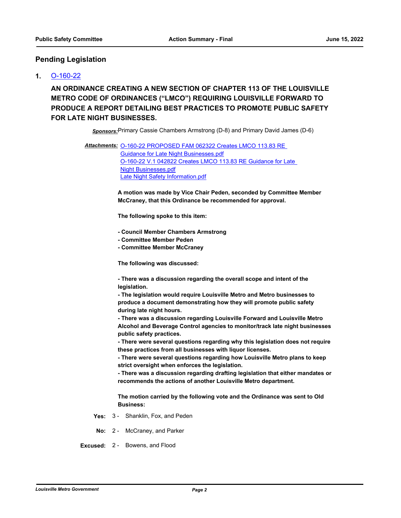## **Pending Legislation**

## **1.** [O-160-22](http://louisville.legistar.com/gateway.aspx?m=l&id=/matter.aspx?key=60195)

**AN ORDINANCE CREATING A NEW SECTION OF CHAPTER 113 OF THE LOUISVILLE METRO CODE OF ORDINANCES ("LMCO") REQUIRING LOUISVILLE FORWARD TO PRODUCE A REPORT DETAILING BEST PRACTICES TO PROMOTE PUBLIC SAFETY FOR LATE NIGHT BUSINESSES.**

*Sponsors:*Primary Cassie Chambers Armstrong (D-8) and Primary David James (D-6)

Attachments: 0-160-22 PROPOSED FAM 062322 Creates LMCO 113.83 RE Guidance for Late Night Businesses.pdf [O-160-22 V.1 042822 Creates LMCO 113.83 RE Guidance for Late](http://louisville.legistar.com/gateway.aspx?M=F&ID=851795f1-c341-4d12-a5a0-af08f7d014dd.pdf)  Night Businesses.pdf [Late Night Safety Information.pdf](http://louisville.legistar.com/gateway.aspx?M=F&ID=8e89b3e8-7a4c-4dd9-8968-d2cfc6bbacfc.pdf)

> **A motion was made by Vice Chair Peden, seconded by Committee Member McCraney, that this Ordinance be recommended for approval.**

**The following spoke to this item:**

- **Council Member Chambers Armstrong**
- **Committee Member Peden**
- **Committee Member McCraney**

**The following was discussed:**

**- There was a discussion regarding the overall scope and intent of the legislation.**

**- The legislation would require Louisville Metro and Metro businesses to produce a document demonstrating how they will promote public safety during late night hours.**

**- There was a discussion regarding Louisville Forward and Louisville Metro Alcohol and Beverage Control agencies to monitor/track late night businesses public safety practices.**

**- There were several questions regarding why this legislation does not require these practices from all businesses with liquor licenses.**

**- There were several questions regarding how Louisville Metro plans to keep strict oversight when enforces the legislation.**

**- There was a discussion regarding drafting legislation that either mandates or recommends the actions of another Louisville Metro department.**

**The motion carried by the following vote and the Ordinance was sent to Old Business:**

- **Yes:** 3 Shanklin, Fox, and Peden
- **No:** 2 McCraney, and Parker
- **Excused:** 2 Bowens, and Flood